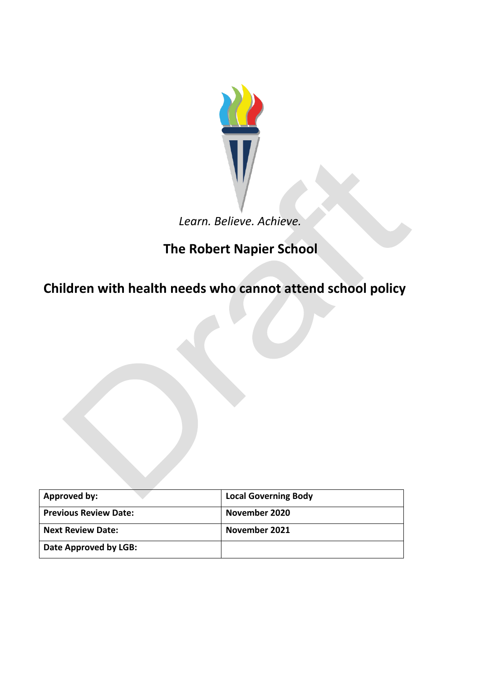

## *Learn. Believe. Achieve.*

# **The Robert Napier School**

**Children with health needs who cannot attend school policy**

| Approved by:                 | <b>Local Governing Body</b> |
|------------------------------|-----------------------------|
| <b>Previous Review Date:</b> | November 2020               |
| <b>Next Review Date:</b>     | November 2021               |
| Date Approved by LGB:        |                             |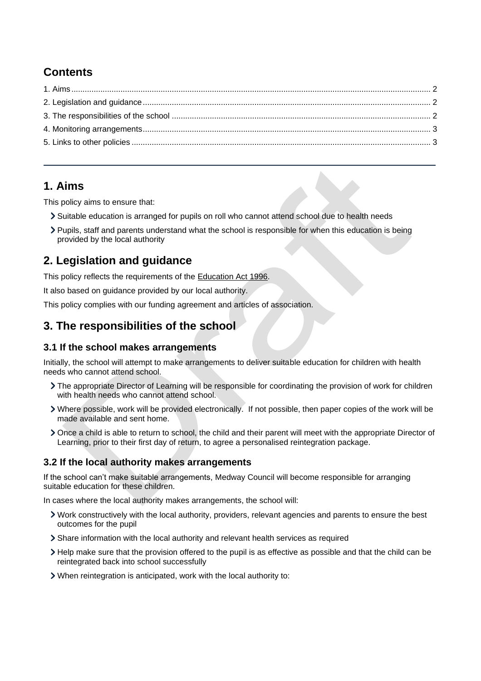## **Contents**

### <span id="page-1-0"></span>**1. Aims**

This policy aims to ensure that:

- Suitable education is arranged for pupils on roll who cannot attend school due to health needs
- Pupils, staff and parents understand what the school is responsible for when this education is being provided by the local authority

## <span id="page-1-1"></span>**2. Legislation and guidance**

This policy reflects the requirements of the [Education Act 1996.](http://www.legislation.gov.uk/ukpga/1996/56/section/19)

It also based on guidance provided by our local authority.

This policy complies with our funding agreement and articles of association.

### <span id="page-1-2"></span>**3. The responsibilities of the school**

#### **3.1 If the school makes arrangements**

Initially, the school will attempt to make arrangements to deliver suitable education for children with health needs who cannot attend school.

- The appropriate Director of Learning will be responsible for coordinating the provision of work for children with health needs who cannot attend school.
- Where possible, work will be provided electronically. If not possible, then paper copies of the work will be made available and sent home.
- Once a child is able to return to school, the child and their parent will meet with the appropriate Director of Learning, prior to their first day of return, to agree a personalised reintegration package.

#### **3.2 If the local authority makes arrangements**

If the school can't make suitable arrangements, Medway Council will become responsible for arranging suitable education for these children.

In cases where the local authority makes arrangements, the school will:

- Work constructively with the local authority, providers, relevant agencies and parents to ensure the best outcomes for the pupil
- Share information with the local authority and relevant health services as required
- Help make sure that the provision offered to the pupil is as effective as possible and that the child can be reintegrated back into school successfully
- When reintegration is anticipated, work with the local authority to: